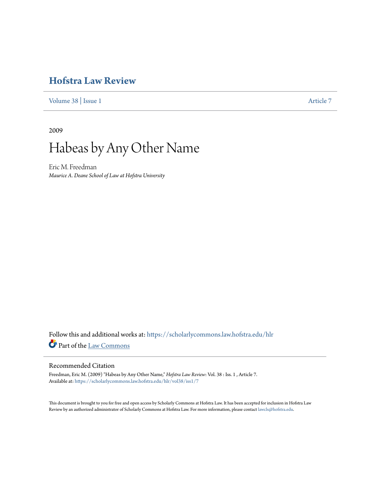# **[Hofstra Law Review](https://scholarlycommons.law.hofstra.edu/hlr?utm_source=scholarlycommons.law.hofstra.edu%2Fhlr%2Fvol38%2Fiss1%2F7&utm_medium=PDF&utm_campaign=PDFCoverPages)**

[Volume 38](https://scholarlycommons.law.hofstra.edu/hlr/vol38?utm_source=scholarlycommons.law.hofstra.edu%2Fhlr%2Fvol38%2Fiss1%2F7&utm_medium=PDF&utm_campaign=PDFCoverPages) | [Issue 1](https://scholarlycommons.law.hofstra.edu/hlr/vol38/iss1?utm_source=scholarlycommons.law.hofstra.edu%2Fhlr%2Fvol38%2Fiss1%2F7&utm_medium=PDF&utm_campaign=PDFCoverPages) [Article 7](https://scholarlycommons.law.hofstra.edu/hlr/vol38/iss1/7?utm_source=scholarlycommons.law.hofstra.edu%2Fhlr%2Fvol38%2Fiss1%2F7&utm_medium=PDF&utm_campaign=PDFCoverPages)

2009



Eric M. Freedman *Maurice A. Deane School of Law at Hofstra University*

Follow this and additional works at: [https://scholarlycommons.law.hofstra.edu/hlr](https://scholarlycommons.law.hofstra.edu/hlr?utm_source=scholarlycommons.law.hofstra.edu%2Fhlr%2Fvol38%2Fiss1%2F7&utm_medium=PDF&utm_campaign=PDFCoverPages) Part of the [Law Commons](http://network.bepress.com/hgg/discipline/578?utm_source=scholarlycommons.law.hofstra.edu%2Fhlr%2Fvol38%2Fiss1%2F7&utm_medium=PDF&utm_campaign=PDFCoverPages)

### Recommended Citation

Freedman, Eric M. (2009) "Habeas by Any Other Name," *Hofstra Law Review*: Vol. 38 : Iss. 1 , Article 7. Available at: [https://scholarlycommons.law.hofstra.edu/hlr/vol38/iss1/7](https://scholarlycommons.law.hofstra.edu/hlr/vol38/iss1/7?utm_source=scholarlycommons.law.hofstra.edu%2Fhlr%2Fvol38%2Fiss1%2F7&utm_medium=PDF&utm_campaign=PDFCoverPages)

This document is brought to you for free and open access by Scholarly Commons at Hofstra Law. It has been accepted for inclusion in Hofstra Law Review by an authorized administrator of Scholarly Commons at Hofstra Law. For more information, please contact [lawcls@hofstra.edu](mailto:lawcls@hofstra.edu).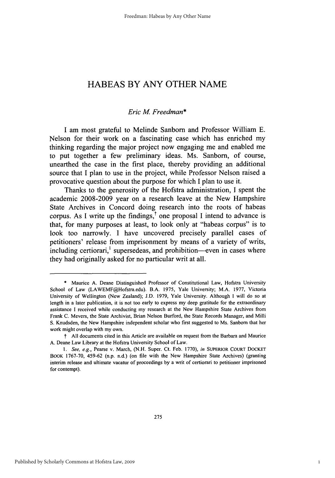## **HABEAS** BY **ANY** OTHER **NAME**

#### *Eric M Freedman\**

**I** am most grateful to Melinde Sanborn and Professor William **E.** Nelson for their work on a fascinating case which has enriched my thinking regarding the major project now engaging me and enabled me to put together a few preliminary ideas. Ms. Sanborn, of course, unearthed the case in the first place, thereby providing an additional source that **I** plan to use in the project, while Professor Nelson raised a provocative question about the purpose for which **I** plan to use it.

Thanks to the generosity of the Hofstra administration, **I** spent the academic **2008-2009** year on a research leave at the New Hampshire State Archives in Concord doing research into the roots of habeas corpus. As I write up the findings,<sup> $\dagger$ </sup> one proposal I intend to advance is that, for many purposes at least, to look only at "habeas corpus" is to look too narrowly. **I** have uncovered precisely parallel cases of petitioners' release from imprisonment **by** means of a variety of writs, including certiorari,<sup> $\frac{1}{1}$ </sup> supersedeas, and prohibition—even in cases where they had originally asked for no particular writ at all.

**<sup>\*</sup>** Maurice **A.** Deane Distinguished Professor of Constitutional Law, Hofstra University School of Law (LAWEMF@Hofstra.edu). B.A. **1975,** Yale University; M.A. **1977,** Victoria University of Wellington (New Zealand); **J.D. 1979,** Yale University. Although **I** will do so at length in a later publication, it is not too early to express my deep gratitude for the extraordinary assistance I received while conducting my research at the New Hampshire State Archives from Frank **C.** Mevers, the State Archivist, Brian Nelson Burford, the State Records Manager, and Milli **S.** Knudsden, the New Hampshire independent scholar who first suggested to Ms. Sanborn that her work might overlap with my own.

t **All** documents cited in this Article are available on request from the Barbara and Maurice **A.** Deane Law Library at the Hofstra University School of Law.

*<sup>1.</sup> See, e.g.,* Pearse v. March, **(N.H.** Super. Ct. Feb. **1770),** *in* **SUPERIOR COURT DOCKET** BOOK **1767-70,** 459-62 (n.p. n.d.) (on file with the New Hampshire State Archives) (granting interim release and ultimate vacatur of proceedings **by** a writ of certiorari to petitioner imprisoned for contempt).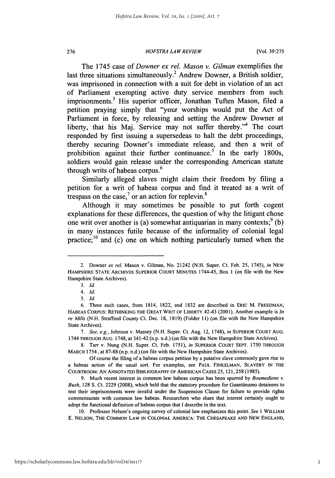#### *HOFSTRA LAW REVIEW* **276** [Vol. **39:275**

The 1745 case of *Downer ex rel. Mason v. Gilman* exemplifies the last three situations simultaneously.<sup>2</sup> Andrew Downer, a British soldier, was imprisoned in connection with a suit for debt in violation of an act of Parliament exempting active duty service members from such imprisonments.<sup>3</sup> His superior officer, Jonathan Tuften Mason, filed a petition praying simply that "your worships would put the Act of Parliament in force, **by** releasing and setting the Andrew Downer at liberty, that his Maj. Service may not suffer thereby.<sup> $4$ </sup> The court responded **by** first issuing a supersedeas to halt the debt proceedings, thereby securing Downer's immediate release, and then a writ of prohibition against their further continuance.<sup>5</sup> In the early 1800s, soldiers would gain release under the corresponding American statute *<sup>6</sup>* through writs of habeas corpus.

Similarly alleged slaves might claim their freedom **by** filing a petition for a writ of habeas corpus and find it treated as a writ of trespass on the case,<sup>7</sup> or an action for replevin.<sup>8</sup>

Although it may sometimes be possible to put forth cogent explanations for these differences, the question of why the litigant chose one writ over another is (a) somewhat antiquarian in many contexts;<sup>9</sup> (b) in many instances futile because of the informality of colonial legal practice;<sup>10</sup> and (c) one on which nothing particularly turned when the

<sup>2.</sup> Downer *ex rel.* Mason v. Gilman, No. 21242 **(N.H.** Super. Ct. Feb. **25,** 1745), *in* **NEW HAMPSHIRE STATE** ARCHIVES SUPERIOR **COURT MINUTES** 1744-45, Box 1 (on file with the New Hampshire State Archives).

*<sup>3.</sup> Id.*

*<sup>4.</sup> Id.*

*<sup>5.</sup> Id*

**<sup>6.</sup>** Three such cases, from 1814, **1822,** and **1832** are described in ERIC M. FREEDMAN, **HABEAS** CORPUS: RETHINKING THE **GREAT** WRIT OF LIBERTY 42-43 **(2001).** Another example is *In re Mills* **(N.H.** Strafford County Ct. Dec. **18, 1819)** (Folder **11)** (on file with the New Hampshire State Archives).

*<sup>7.</sup> See, e.g,* Johnson v. Massey **(N.H.** Super. Ct. Aug. 12, **1748),** *in* **SUPERIOR COURT AUG.** 1744 **THROUGH AUG. 1748,** at 341-42 (n.p. n.d.) (on file with the New Hampshire State Archives).

**<sup>8.</sup>** Tarr v. Nung **(N.H.** Super. Ct. Feb. **1751),** *in* SUPERIOR **COURT SEPT. 1750** THROUGH MARCH 1754, at **87-88** (n.p. n.d.) (on file with the New Hampshire State Archives).

**Of** course the filing of a habeas corpus petition **by** a putative slave commonly gave rise to a habeas action of the usual sort. For examples, see **PAUL FINKELMAN,** SLAVERY **IN** THE COURTROOM: **AN ANNOTATED BIBLIOGRAPHY OF AMERICAN** CASES **25, 121, 258 (1985).**

**<sup>9.</sup>** Much recent interest in common law habeas corpus has been spurred **by** *Boumediene v. Bush,* **128 S.** Ct. **2229 (2008),** which held that the statutory procedure for Guantinamo detainees to test their imprisonments were invalid under the Suspension Clause for failure to provide rights commensurate with common law habeas. Researchers who share that interest certainly ought to adopt the functional definition of habeas corpus that **I** describe in the text.

**<sup>10.</sup>** Professor Nelson's ongoing survey of colonial law emphasizes this point. *See* **I WILLIAM E. NELSON,** THE COMMON LAW **IN COLONIAL** AMERICA: THE **CHESAPEAKE AND** NEW **ENGLAND,**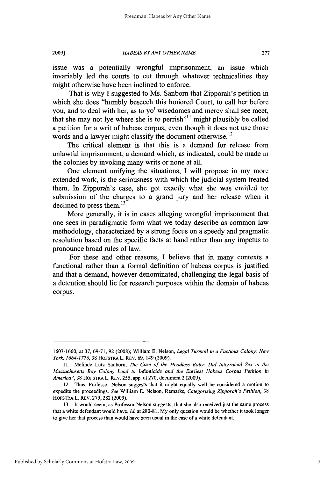issue was a potentially wrongful imprisonment, an issue which invariably led the courts to cut through whatever technicalities they might otherwise have been inclined to enforce.

That is why **I** suggested to Ms. Sanborn that Zipporah's petition in which she does "humbly beseech this honored Court, to call her before you, and to deal with her, as to yo<sup>r</sup> wisedomes and mercy shall see meet, that she may not lye where she is to perrish"" might plausibly be called a petition for a writ of habeas corpus, even though it does not use those words and a lawyer might classify the document otherwise.<sup>12</sup>

The critical element is that this is a demand for release from unlawful imprisonment, a demand which, as indicated, could be made in the colonies **by** invoking many writs or none at all.

One element unifying the situations, **I** will propose in my more extended work, is the seriousness with which the judicial system treated them. In Zipporah's case, she got exactly what she was entitled to: submission of the charges to a grand jury and her release when it declined to press them. $^{13}$ 

More generally, it is in cases alleging wrongful imprisonment that one sees in paradigmatic form what we today describe as common law methodology, characterized **by** a strong focus on a speedy and pragmatic resolution based on the specific facts at hand rather than any impetus to pronounce broad rules of law.

For these and other reasons, **I** believe that in many contexts a functional rather than a formal definition of habeas corpus is justified and that a demand, however denominated, challenging the legal basis of a detention should lie for research purposes within the domain of habeas corpus.

**<sup>1607-1660,</sup>** at **37, 69-71, 92 (2008);** William **E.** Nelson, *Legal Turmoil in a Factious Colony: New York, 1664-1776, 38* HOFSTRA L. REV. **69,** 149 **(2009).**

**<sup>11.</sup>** Melinde Lutz Sanborn, *The Case of the Headless Baby: Did Interracial Sex in the Massachusetts Bay Colony Lead to Infanticide and the Earliest Habeas Corpus Petition in America?,* **38** HOFSTRA L. REV. *255,* app. at **270,** document 2 **(2009).**

<sup>12.</sup> Thus, Professor Nelson suggests that it might equally well be considered a motion to expedite the proceedings. *See* William **E.** Nelson, Remarks, *Categorizing Zipporah's Petition, 38* HOFSTRA L. REV. **279, 282 (2009).**

**<sup>13.</sup>** It would seem, as Professor Nelson suggests, that she also received just the same process that a white defendant would have. *Id* at **280-81. My** only question would be whether it took longer to give her that process than would have been usual in the case of a white defendant.